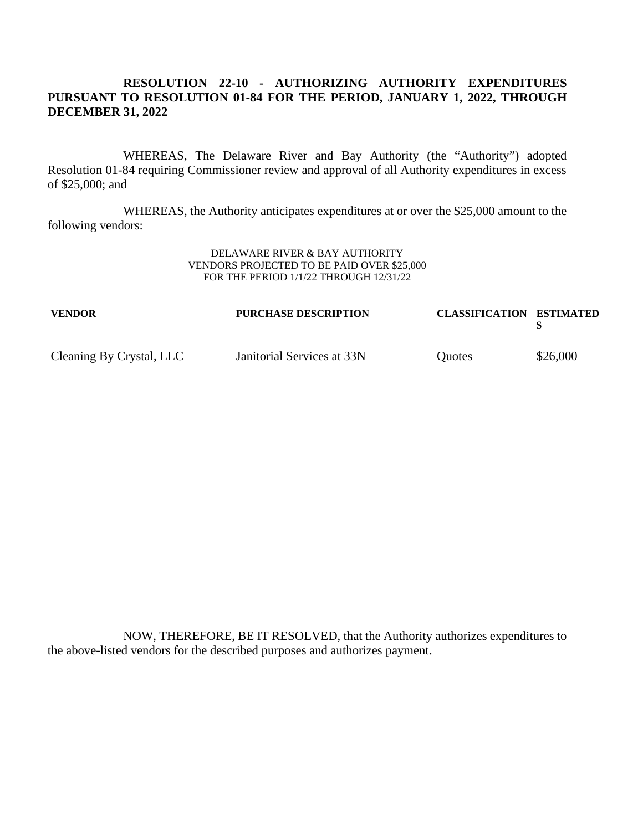# **RESOLUTION 22-10 -AUTHORIZING AUTHORITY EXPENDITURES PURSUANT TO RESOLUTION 01-84 FOR THE PERIOD, JANUARY 1, 2022, THROUGH DECEMBER 31, 2022**

WHEREAS, The Delaware River and Bay Authority (the "Authority") adopted Resolution 01-84 requiring Commissioner review and approval of all Authority expenditures in excess of \$25,000; and

WHEREAS, the Authority anticipates expenditures at or over the \$25,000 amount to the following vendors:

#### DELAWARE RIVER & BAY AUTHORITY VENDORS PROJECTED TO BE PAID OVER \$25,000 FOR THE PERIOD 1/1/22 THROUGH 12/31/22

| <b>VENDOR</b>            | <b>PURCHASE DESCRIPTION</b> | <b>CLASSIFICATION ESTIMATED</b> |          |
|--------------------------|-----------------------------|---------------------------------|----------|
| Cleaning By Crystal, LLC | Janitorial Services at 33N  | Quotes                          | \$26,000 |

NOW, THEREFORE, BE IT RESOLVED, that the Authority authorizes expenditures to the above-listed vendors for the described purposes and authorizes payment.